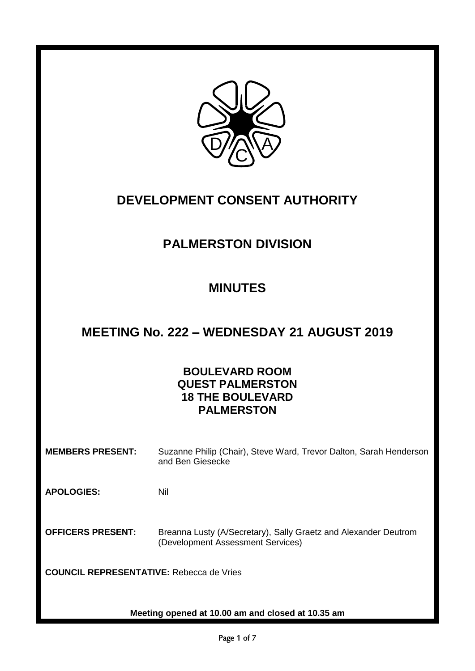

# **DEVELOPMENT CONSENT AUTHORITY**

# **PALMERSTON DIVISION**

### **MINUTES**

## **MEETING No. 222 – WEDNESDAY 21 AUGUST 2019**

### **BOULEVARD ROOM QUEST PALMERSTON 18 THE BOULEVARD PALMERSTON**

**MEMBERS PRESENT:** Suzanne Philip (Chair), Steve Ward, Trevor Dalton, Sarah Henderson and Ben Giesecke

**APOLOGIES:** Nil

**OFFICERS PRESENT:** Breanna Lusty (A/Secretary), Sally Graetz and Alexander Deutrom (Development Assessment Services)

**COUNCIL REPRESENTATIVE:** Rebecca de Vries

**Meeting opened at 10.00 am and closed at 10.35 am**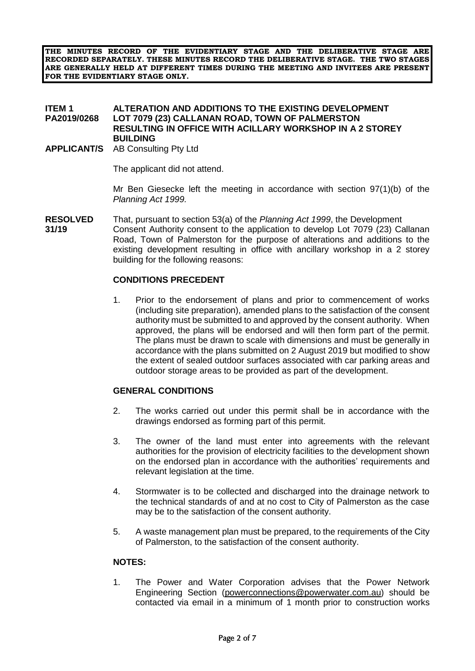**THE MINUTES RECORD OF THE EVIDENTIARY STAGE AND THE DELIBERATIVE STAGE ARE RECORDED SEPARATELY. THESE MINUTES RECORD THE DELIBERATIVE STAGE. THE TWO STAGES ARE GENERALLY HELD AT DIFFERENT TIMES DURING THE MEETING AND INVITEES ARE PRESENT FOR THE EVIDENTIARY STAGE ONLY.**

#### **ITEM 1** ALTERATION AND ADDITIONS TO THE EXISTING DEVELOPMENT<br>PA2019/0268 LOT 7079 (23) CALLANAN ROAD. TOWN OF PALMERSTON **LOT 7079 (23) CALLANAN ROAD, TOWN OF PALMERSTON RESULTING IN OFFICE WITH ACILLARY WORKSHOP IN A 2 STOREY BUILDING**

**APPLICANT/S** AB Consulting Pty Ltd

The applicant did not attend.

Mr Ben Giesecke left the meeting in accordance with section 97(1)(b) of the *Planning Act 1999.*

**RESOLVED** That, pursuant to section 53(a) of the *Planning Act 1999*, the Development **31/19** Consent Authority consent to the application to develop Lot 7079 (23) Callanan Road, Town of Palmerston for the purpose of alterations and additions to the existing development resulting in office with ancillary workshop in a 2 storey building for the following reasons:

#### **CONDITIONS PRECEDENT**

1. Prior to the endorsement of plans and prior to commencement of works (including site preparation), amended plans to the satisfaction of the consent authority must be submitted to and approved by the consent authority. When approved, the plans will be endorsed and will then form part of the permit. The plans must be drawn to scale with dimensions and must be generally in accordance with the plans submitted on 2 August 2019 but modified to show the extent of sealed outdoor surfaces associated with car parking areas and outdoor storage areas to be provided as part of the development.

#### **GENERAL CONDITIONS**

- 2. The works carried out under this permit shall be in accordance with the drawings endorsed as forming part of this permit.
- 3. The owner of the land must enter into agreements with the relevant authorities for the provision of electricity facilities to the development shown on the endorsed plan in accordance with the authorities' requirements and relevant legislation at the time.
- 4. Stormwater is to be collected and discharged into the drainage network to the technical standards of and at no cost to City of Palmerston as the case may be to the satisfaction of the consent authority.
- 5. A waste management plan must be prepared, to the requirements of the City of Palmerston, to the satisfaction of the consent authority.

#### **NOTES:**

1. The Power and Water Corporation advises that the Power Network Engineering Section [\(powerconnections@powerwater.com.au\)](mailto:powerconnections@powerwater.com.au) should be contacted via email in a minimum of 1 month prior to construction works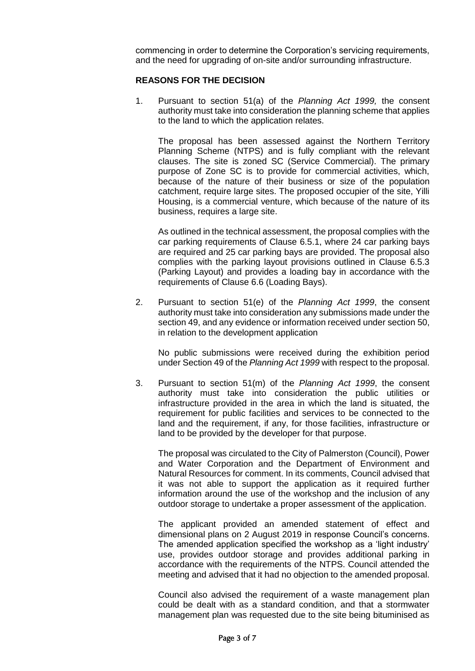commencing in order to determine the Corporation's servicing requirements, and the need for upgrading of on-site and/or surrounding infrastructure.

#### **REASONS FOR THE DECISION**

1. Pursuant to section 51(a) of the *Planning Act 1999,* the consent authority must take into consideration the planning scheme that applies to the land to which the application relates.

The proposal has been assessed against the Northern Territory Planning Scheme (NTPS) and is fully compliant with the relevant clauses. The site is zoned SC (Service Commercial). The primary purpose of Zone SC is to provide for commercial activities, which, because of the nature of their business or size of the population catchment, require large sites. The proposed occupier of the site, Yilli Housing, is a commercial venture, which because of the nature of its business, requires a large site.

As outlined in the technical assessment, the proposal complies with the car parking requirements of Clause 6.5.1, where 24 car parking bays are required and 25 car parking bays are provided. The proposal also complies with the parking layout provisions outlined in Clause 6.5.3 (Parking Layout) and provides a loading bay in accordance with the requirements of Clause 6.6 (Loading Bays).

2. Pursuant to section 51(e) of the *Planning Act 1999*, the consent authority must take into consideration any submissions made under the section 49, and any evidence or information received under section 50, in relation to the development application

No public submissions were received during the exhibition period under Section 49 of the *Planning Act 1999* with respect to the proposal.

3. Pursuant to section 51(m) of the *Planning Act 1999*, the consent authority must take into consideration the public utilities or infrastructure provided in the area in which the land is situated, the requirement for public facilities and services to be connected to the land and the requirement, if any, for those facilities, infrastructure or land to be provided by the developer for that purpose.

The proposal was circulated to the City of Palmerston (Council), Power and Water Corporation and the Department of Environment and Natural Resources for comment. In its comments, Council advised that it was not able to support the application as it required further information around the use of the workshop and the inclusion of any outdoor storage to undertake a proper assessment of the application.

The applicant provided an amended statement of effect and dimensional plans on 2 August 2019 in response Council's concerns. The amended application specified the workshop as a 'light industry' use, provides outdoor storage and provides additional parking in accordance with the requirements of the NTPS. Council attended the meeting and advised that it had no objection to the amended proposal.

Council also advised the requirement of a waste management plan could be dealt with as a standard condition, and that a stormwater management plan was requested due to the site being bituminised as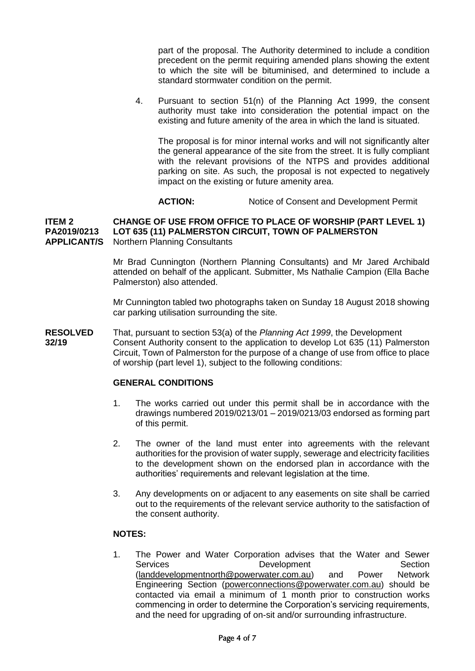part of the proposal. The Authority determined to include a condition precedent on the permit requiring amended plans showing the extent to which the site will be bituminised, and determined to include a standard stormwater condition on the permit.

4. Pursuant to section 51(n) of the Planning Act 1999, the consent authority must take into consideration the potential impact on the existing and future amenity of the area in which the land is situated.

The proposal is for minor internal works and will not significantly alter the general appearance of the site from the street. It is fully compliant with the relevant provisions of the NTPS and provides additional parking on site. As such, the proposal is not expected to negatively impact on the existing or future amenity area.

#### **ACTION:** Notice of Consent and Development Permit

#### **ITEM 2 CHANGE OF USE FROM OFFICE TO PLACE OF WORSHIP (PART LEVEL 1) PA2019/0213 LOT 635 (11) PALMERSTON CIRCUIT, TOWN OF PALMERSTON APPLICANT/S** Northern Planning Consultants

Mr Brad Cunnington (Northern Planning Consultants) and Mr Jared Archibald attended on behalf of the applicant. Submitter, Ms Nathalie Campion (Ella Bache Palmerston) also attended.

Mr Cunnington tabled two photographs taken on Sunday 18 August 2018 showing car parking utilisation surrounding the site.

**RESOLVED** That, pursuant to section 53(a) of the *Planning Act 1999*, the Development **32/19** Consent Authority consent to the application to develop Lot 635 (11) Palmerston Circuit, Town of Palmerston for the purpose of a change of use from office to place of worship (part level 1), subject to the following conditions:

#### **GENERAL CONDITIONS**

- 1. The works carried out under this permit shall be in accordance with the drawings numbered 2019/0213/01 – 2019/0213/03 endorsed as forming part of this permit.
- 2. The owner of the land must enter into agreements with the relevant authorities for the provision of water supply, sewerage and electricity facilities to the development shown on the endorsed plan in accordance with the authorities' requirements and relevant legislation at the time.
- 3. Any developments on or adjacent to any easements on site shall be carried out to the requirements of the relevant service authority to the satisfaction of the consent authority.

#### **NOTES:**

1. The Power and Water Corporation advises that the Water and Sewer Services **Development** Development Section [\(landdevelopmentnorth@powerwater.com.au\)](mailto:landdevelopmentnorth@powerwater.com.au) and Power Network Engineering Section [\(powerconnections@powerwater.com.au\)](mailto:powerconnections@powerwater.com.au) should be contacted via email a minimum of 1 month prior to construction works commencing in order to determine the Corporation's servicing requirements, and the need for upgrading of on-sit and/or surrounding infrastructure.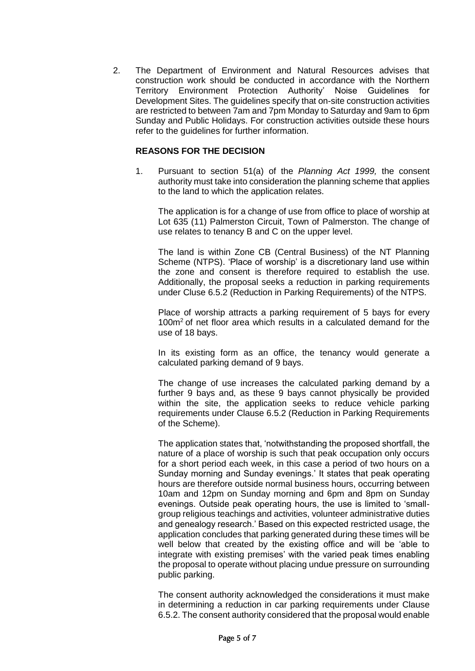2. The Department of Environment and Natural Resources advises that construction work should be conducted in accordance with the Northern Territory Environment Protection Authority' Noise Guidelines for Development Sites. The guidelines specify that on-site construction activities are restricted to between 7am and 7pm Monday to Saturday and 9am to 6pm Sunday and Public Holidays. For construction activities outside these hours refer to the guidelines for further information.

#### **REASONS FOR THE DECISION**

1. Pursuant to section 51(a) of the *Planning Act 1999,* the consent authority must take into consideration the planning scheme that applies to the land to which the application relates.

The application is for a change of use from office to place of worship at Lot 635 (11) Palmerston Circuit, Town of Palmerston. The change of use relates to tenancy B and C on the upper level.

The land is within Zone CB (Central Business) of the NT Planning Scheme (NTPS). 'Place of worship' is a discretionary land use within the zone and consent is therefore required to establish the use. Additionally, the proposal seeks a reduction in parking requirements under Cluse 6.5.2 (Reduction in Parking Requirements) of the NTPS.

Place of worship attracts a parking requirement of 5 bays for every 100m<sup>2</sup> of net floor area which results in a calculated demand for the use of 18 bays.

In its existing form as an office, the tenancy would generate a calculated parking demand of 9 bays.

The change of use increases the calculated parking demand by a further 9 bays and, as these 9 bays cannot physically be provided within the site, the application seeks to reduce vehicle parking requirements under Clause 6.5.2 (Reduction in Parking Requirements of the Scheme).

The application states that, 'notwithstanding the proposed shortfall, the nature of a place of worship is such that peak occupation only occurs for a short period each week, in this case a period of two hours on a Sunday morning and Sunday evenings.' It states that peak operating hours are therefore outside normal business hours, occurring between 10am and 12pm on Sunday morning and 6pm and 8pm on Sunday evenings. Outside peak operating hours, the use is limited to 'smallgroup religious teachings and activities, volunteer administrative duties and genealogy research.' Based on this expected restricted usage, the application concludes that parking generated during these times will be well below that created by the existing office and will be 'able to integrate with existing premises' with the varied peak times enabling the proposal to operate without placing undue pressure on surrounding public parking.

The consent authority acknowledged the considerations it must make in determining a reduction in car parking requirements under Clause 6.5.2. The consent authority considered that the proposal would enable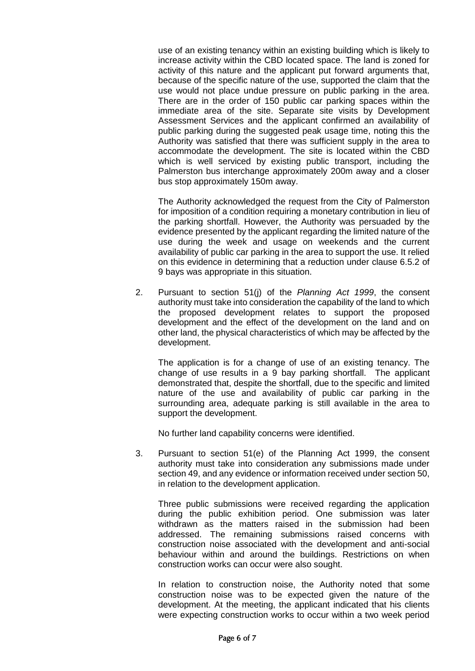use of an existing tenancy within an existing building which is likely to increase activity within the CBD located space. The land is zoned for activity of this nature and the applicant put forward arguments that, because of the specific nature of the use, supported the claim that the use would not place undue pressure on public parking in the area. There are in the order of 150 public car parking spaces within the immediate area of the site. Separate site visits by Development Assessment Services and the applicant confirmed an availability of public parking during the suggested peak usage time, noting this the Authority was satisfied that there was sufficient supply in the area to accommodate the development. The site is located within the CBD which is well serviced by existing public transport, including the Palmerston bus interchange approximately 200m away and a closer bus stop approximately 150m away.

The Authority acknowledged the request from the City of Palmerston for imposition of a condition requiring a monetary contribution in lieu of the parking shortfall. However, the Authority was persuaded by the evidence presented by the applicant regarding the limited nature of the use during the week and usage on weekends and the current availability of public car parking in the area to support the use. It relied on this evidence in determining that a reduction under clause 6.5.2 of 9 bays was appropriate in this situation.

2. Pursuant to section 51(j) of the *Planning Act 1999*, the consent authority must take into consideration the capability of the land to which the proposed development relates to support the proposed development and the effect of the development on the land and on other land, the physical characteristics of which may be affected by the development.

The application is for a change of use of an existing tenancy. The change of use results in a 9 bay parking shortfall. The applicant demonstrated that, despite the shortfall, due to the specific and limited nature of the use and availability of public car parking in the surrounding area, adequate parking is still available in the area to support the development.

No further land capability concerns were identified.

3. Pursuant to section 51(e) of the Planning Act 1999, the consent authority must take into consideration any submissions made under section 49, and any evidence or information received under section 50, in relation to the development application.

Three public submissions were received regarding the application during the public exhibition period. One submission was later withdrawn as the matters raised in the submission had been addressed. The remaining submissions raised concerns with construction noise associated with the development and anti-social behaviour within and around the buildings. Restrictions on when construction works can occur were also sought.

In relation to construction noise, the Authority noted that some construction noise was to be expected given the nature of the development. At the meeting, the applicant indicated that his clients were expecting construction works to occur within a two week period